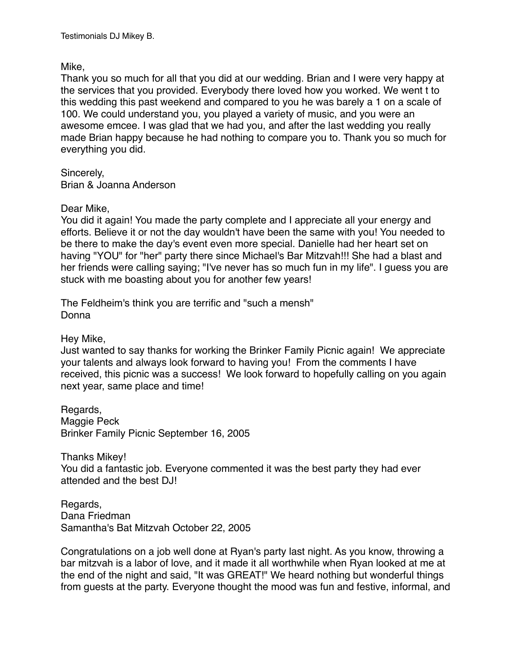Testimonials DJ Mikey B.

Mike,

Thank you so much for all that you did at our wedding. Brian and I were very happy at the services that you provided. Everybody there loved how you worked. We went t to this wedding this past weekend and compared to you he was barely a 1 on a scale of 100. We could understand you, you played a variety of music, and you were an awesome emcee. I was glad that we had you, and after the last wedding you really made Brian happy because he had nothing to compare you to. Thank you so much for everything you did.

Sincerely, Brian & Joanna Anderson

Dear Mike,

You did it again! You made the party complete and I appreciate all your energy and efforts. Believe it or not the day wouldn't have been the same with you! You needed to be there to make the day's event even more special. Danielle had her heart set on having "YOU" for "her" party there since Michael's Bar Mitzvah!!! She had a blast and her friends were calling saying; "I've never has so much fun in my life". I guess you are stuck with me boasting about you for another few years!

The Feldheim's think you are terrific and "such a mensh" Donna

Hey Mike,

Just wanted to say thanks for working the Brinker Family Picnic again! We appreciate your talents and always look forward to having you! From the comments I have received, this picnic was a success! We look forward to hopefully calling on you again next year, same place and time!

Regards, Maggie Peck Brinker Family Picnic September 16, 2005

Thanks Mikey! You did a fantastic job. Everyone commented it was the best party they had ever attended and the best DJ!

Regards, Dana Friedman Samantha's Bat Mitzvah October 22, 2005

Congratulations on a job well done at Ryan's party last night. As you know, throwing a bar mitzvah is a labor of love, and it made it all worthwhile when Ryan looked at me at the end of the night and said, "It was GREAT!" We heard nothing but wonderful things from guests at the party. Everyone thought the mood was fun and festive, informal, and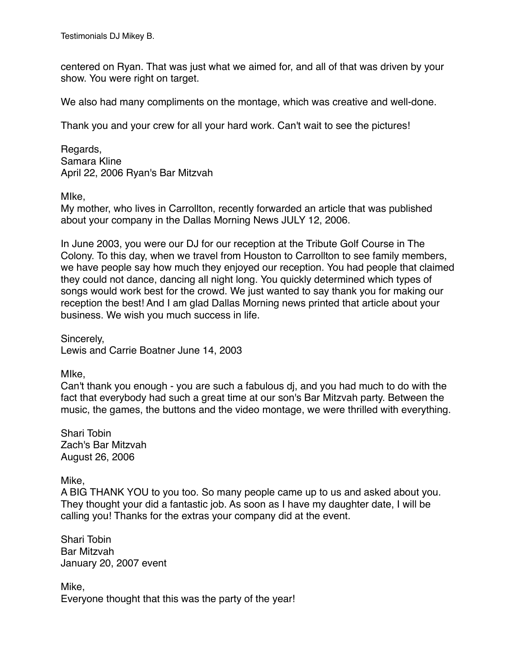centered on Ryan. That was just what we aimed for, and all of that was driven by your show. You were right on target.

We also had many compliments on the montage, which was creative and well-done.

Thank you and your crew for all your hard work. Can't wait to see the pictures!

Regards, Samara Kline April 22, 2006 Ryan's Bar Mitzvah

MIke,

My mother, who lives in Carrollton, recently forwarded an article that was published about your company in the Dallas Morning News JULY 12, 2006.

In June 2003, you were our DJ for our reception at the Tribute Golf Course in The Colony. To this day, when we travel from Houston to Carrollton to see family members, we have people say how much they enjoyed our reception. You had people that claimed they could not dance, dancing all night long. You quickly determined which types of songs would work best for the crowd. We just wanted to say thank you for making our reception the best! And I am glad Dallas Morning news printed that article about your business. We wish you much success in life.

Sincerely, Lewis and Carrie Boatner June 14, 2003

MIke,

Can't thank you enough - you are such a fabulous dj, and you had much to do with the fact that everybody had such a great time at our son's Bar Mitzvah party. Between the music, the games, the buttons and the video montage, we were thrilled with everything.

Shari Tobin Zach's Bar Mitzvah August 26, 2006

Mike,

A BIG THANK YOU to you too. So many people came up to us and asked about you. They thought your did a fantastic job. As soon as I have my daughter date, I will be calling you! Thanks for the extras your company did at the event.

Shari Tobin Bar Mitzvah January 20, 2007 event

Mike, Everyone thought that this was the party of the year!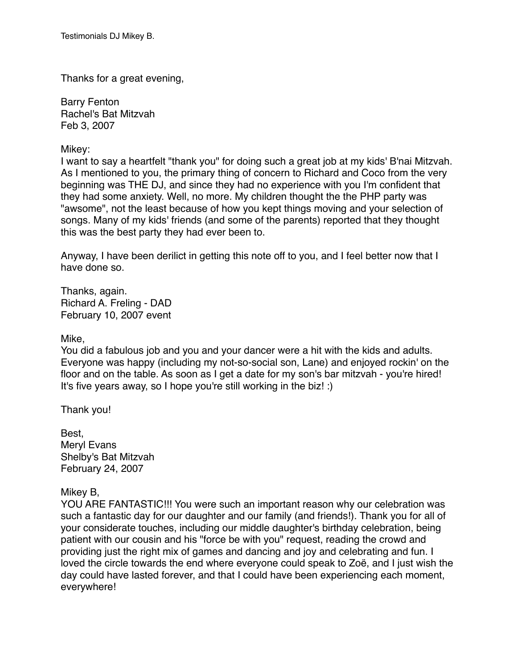Thanks for a great evening,

Barry Fenton Rachel's Bat Mitzvah Feb 3, 2007

Mikey:

I want to say a heartfelt "thank you" for doing such a great job at my kids' B'nai Mitzvah. As I mentioned to you, the primary thing of concern to Richard and Coco from the very beginning was THE DJ, and since they had no experience with you I'm confident that they had some anxiety. Well, no more. My children thought the the PHP party was "awsome", not the least because of how you kept things moving and your selection of songs. Many of my kids' friends (and some of the parents) reported that they thought this was the best party they had ever been to.

Anyway, I have been derilict in getting this note off to you, and I feel better now that I have done so.

Thanks, again. Richard A. Freling - DAD February 10, 2007 event

Mike,

You did a fabulous job and you and your dancer were a hit with the kids and adults. Everyone was happy (including my not-so-social son, Lane) and enjoyed rockin' on the floor and on the table. As soon as I get a date for my son's bar mitzvah - you're hired! It's five years away, so I hope you're still working in the biz! :)

Thank you!

Best, Meryl Evans Shelby's Bat Mitzvah February 24, 2007

## Mikey B,

YOU ARE FANTASTIC!!! You were such an important reason why our celebration was such a fantastic day for our daughter and our family (and friends!). Thank you for all of your considerate touches, including our middle daughter's birthday celebration, being patient with our cousin and his "force be with you" request, reading the crowd and providing just the right mix of games and dancing and joy and celebrating and fun. I loved the circle towards the end where everyone could speak to Zoë, and I just wish the day could have lasted forever, and that I could have been experiencing each moment, everywhere!